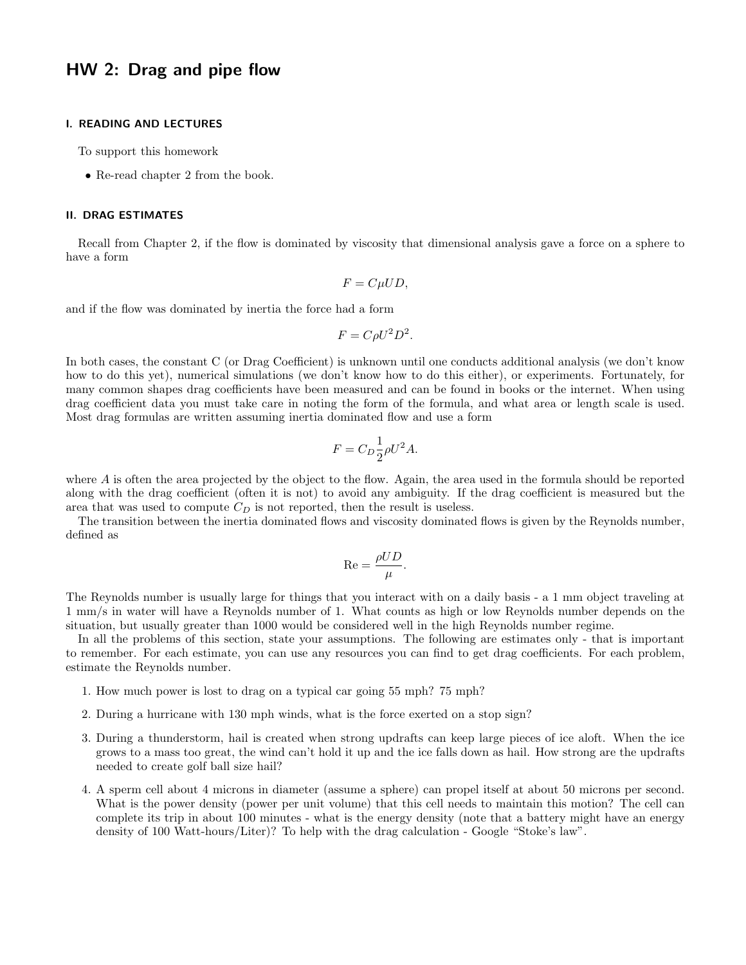## HW 2: Drag and pipe flow

## I. READING AND LECTURES

To support this homework

• Re-read chapter 2 from the book.

## II. DRAG ESTIMATES

Recall from Chapter 2, if the flow is dominated by viscosity that dimensional analysis gave a force on a sphere to have a form

$$
F = C\mu UD,
$$

and if the flow was dominated by inertia the force had a form

$$
F = C\rho U^2 D^2.
$$

In both cases, the constant C (or Drag Coefficient) is unknown until one conducts additional analysis (we don't know how to do this yet), numerical simulations (we don't know how to do this either), or experiments. Fortunately, for many common shapes drag coefficients have been measured and can be found in books or the internet. When using drag coefficient data you must take care in noting the form of the formula, and what area or length scale is used. Most drag formulas are written assuming inertia dominated flow and use a form

$$
F = C_D \frac{1}{2} \rho U^2 A.
$$

where  $A$  is often the area projected by the object to the flow. Again, the area used in the formula should be reported along with the drag coefficient (often it is not) to avoid any ambiguity. If the drag coefficient is measured but the area that was used to compute  $C_D$  is not reported, then the result is useless.

The transition between the inertia dominated flows and viscosity dominated flows is given by the Reynolds number, defined as

$$
\operatorname{Re} = \frac{\rho UD}{\mu}.
$$

The Reynolds number is usually large for things that you interact with on a daily basis - a 1 mm object traveling at 1 mm/s in water will have a Reynolds number of 1. What counts as high or low Reynolds number depends on the situation, but usually greater than 1000 would be considered well in the high Reynolds number regime.

In all the problems of this section, state your assumptions. The following are estimates only - that is important to remember. For each estimate, you can use any resources you can find to get drag coefficients. For each problem, estimate the Reynolds number.

- 1. How much power is lost to drag on a typical car going 55 mph? 75 mph?
- 2. During a hurricane with 130 mph winds, what is the force exerted on a stop sign?
- 3. During a thunderstorm, hail is created when strong updrafts can keep large pieces of ice aloft. When the ice grows to a mass too great, the wind can't hold it up and the ice falls down as hail. How strong are the updrafts needed to create golf ball size hail?
- 4. A sperm cell about 4 microns in diameter (assume a sphere) can propel itself at about 50 microns per second. What is the power density (power per unit volume) that this cell needs to maintain this motion? The cell can complete its trip in about 100 minutes - what is the energy density (note that a battery might have an energy density of 100 Watt-hours/Liter)? To help with the drag calculation - Google "Stoke's law".